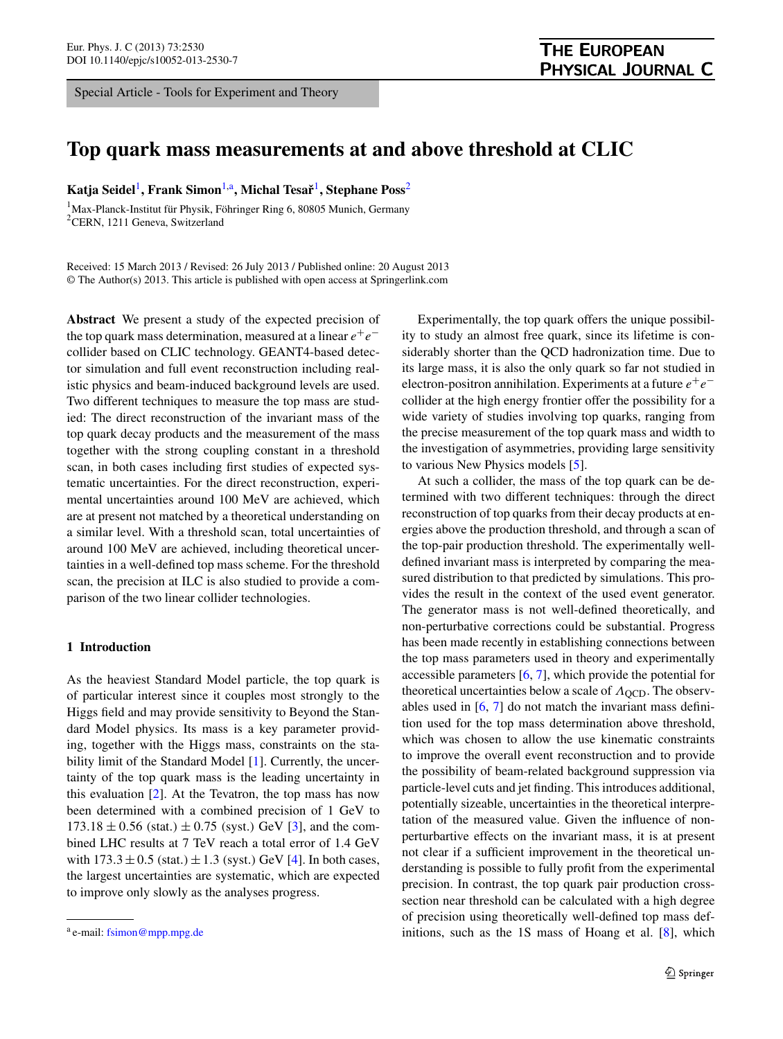<span id="page-0-2"></span><span id="page-0-0"></span>Special Article - Tools for Experiment and Theory

# **Top quark mass measurements at and above threshold at CLIC**

**Katja Seidel**[1](#page-0-0)**, Frank Simon**[1](#page-0-0)[,a](#page-0-1)**, Michal Tesarˇ**[1](#page-0-0)**, Stephane Poss**[2](#page-0-2)

1 Max-Planck-Institut für Physik, Föhringer Ring 6, 80805 Munich, Germany <sup>2</sup>CERN, 1211 Geneva, Switzerland

Received: 15 March 2013 / Revised: 26 July 2013 / Published online: 20 August 2013 © The Author(s) 2013. This article is published with open access at Springerlink.com

**Abstract** We present a study of the expected precision of the top quark mass determination, measured at a linear  $e^+e^$ collider based on CLIC technology. GEANT4-based detector simulation and full event reconstruction including realistic physics and beam-induced background levels are used. Two different techniques to measure the top mass are studied: The direct reconstruction of the invariant mass of the top quark decay products and the measurement of the mass together with the strong coupling constant in a threshold scan, in both cases including first studies of expected systematic uncertainties. For the direct reconstruction, experimental uncertainties around 100 MeV are achieved, which are at present not matched by a theoretical understanding on a similar level. With a threshold scan, total uncertainties of around 100 MeV are achieved, including theoretical uncertainties in a well-defined top mass scheme. For the threshold scan, the precision at ILC is also studied to provide a comparison of the two linear collider technologies.

## <span id="page-0-3"></span>**1 Introduction**

As the heaviest Standard Model particle, the top quark is of particular interest since it couples most strongly to the Higgs field and may provide sensitivity to Beyond the Standard Model physics. Its mass is a key parameter providing, together with the Higgs mass, constraints on the sta-bility limit of the Standard Model [\[1](#page-11-0)]. Currently, the uncertainty of the top quark mass is the leading uncertainty in this evaluation [\[2](#page-11-1)]. At the Tevatron, the top mass has now been determined with a combined precision of 1 GeV to  $173.18 \pm 0.56$  (stat.)  $\pm 0.75$  (syst.) GeV [\[3](#page-12-0)], and the combined LHC results at 7 TeV reach a total error of 1.4 GeV with 173*.*3±0*.*5 *(*stat*.)* ±1*.*3 *(*syst*.)* GeV [[4\]](#page-12-1). In both cases, the largest uncertainties are systematic, which are expected to improve only slowly as the analyses progress.

Experimentally, the top quark offers the unique possibility to study an almost free quark, since its lifetime is considerably shorter than the QCD hadronization time. Due to its large mass, it is also the only quark so far not studied in electron-positron annihilation. Experiments at a future  $e^+e^$ collider at the high energy frontier offer the possibility for a wide variety of studies involving top quarks, ranging from the precise measurement of the top quark mass and width to the investigation of asymmetries, providing large sensitivity to various New Physics models [\[5](#page-12-2)].

At such a collider, the mass of the top quark can be determined with two different techniques: through the direct reconstruction of top quarks from their decay products at energies above the production threshold, and through a scan of the top-pair production threshold. The experimentally welldefined invariant mass is interpreted by comparing the measured distribution to that predicted by simulations. This provides the result in the context of the used event generator. The generator mass is not well-defined theoretically, and non-perturbative corrections could be substantial. Progress has been made recently in establishing connections between the top mass parameters used in theory and experimentally accessible parameters [\[6](#page-12-3), [7\]](#page-12-4), which provide the potential for theoretical uncertainties below a scale of  $Λ$ <sub>OCD</sub>. The observables used in [[6,](#page-12-3) [7\]](#page-12-4) do not match the invariant mass definition used for the top mass determination above threshold, which was chosen to allow the use kinematic constraints to improve the overall event reconstruction and to provide the possibility of beam-related background suppression via particle-level cuts and jet finding. This introduces additional, potentially sizeable, uncertainties in the theoretical interpretation of the measured value. Given the influence of nonperturbartive effects on the invariant mass, it is at present not clear if a sufficient improvement in the theoretical understanding is possible to fully profit from the experimental precision. In contrast, the top quark pair production crosssection near threshold can be calculated with a high degree of precision using theoretically well-defined top mass def-initions, such as the 1S mass of Hoang et al. [[8\]](#page-12-5), which

<span id="page-0-1"></span><sup>a</sup> e-mail: [fsimon@mpp.mpg.de](mailto:fsimon@mpp.mpg.de)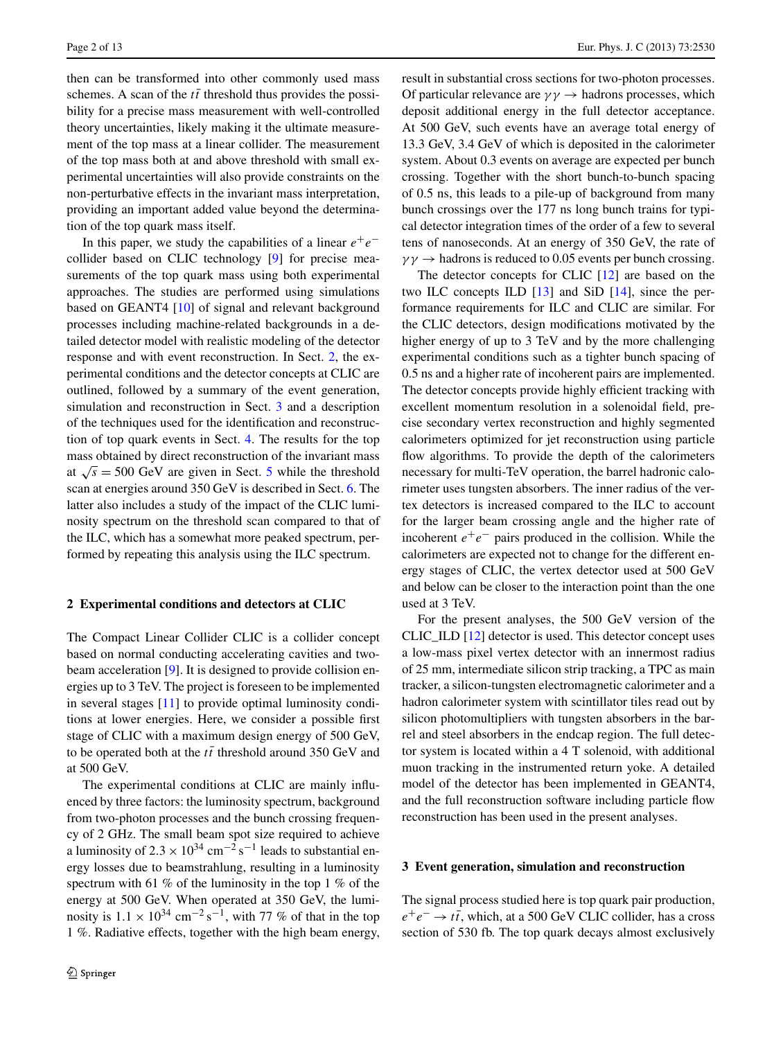then can be transformed into other commonly used mass schemes. A scan of the  $t\bar{t}$  threshold thus provides the possibility for a precise mass measurement with well-controlled theory uncertainties, likely making it the ultimate measurement of the top mass at a linear collider. The measurement of the top mass both at and above threshold with small experimental uncertainties will also provide constraints on the non-perturbative effects in the invariant mass interpretation, providing an important added value beyond the determination of the top quark mass itself.

In this paper, we study the capabilities of a linear  $e^+e^$ collider based on CLIC technology [\[9](#page-12-6)] for precise measurements of the top quark mass using both experimental approaches. The studies are performed using simulations based on GEANT4 [[10\]](#page-12-7) of signal and relevant background processes including machine-related backgrounds in a detailed detector model with realistic modeling of the detector response and with event reconstruction. In Sect. [2,](#page-1-0) the experimental conditions and the detector concepts at CLIC are outlined, followed by a summary of the event generation, simulation and reconstruction in Sect. [3](#page-1-1) and a description of the techniques used for the identification and reconstruction of top quark events in Sect. [4](#page-2-0). The results for the top mass obtained by direct reconstruction of the invariant mass at  $\sqrt{s}$  = [5](#page-5-0)00 GeV are given in Sect. 5 while the threshold scan at energies around 350 GeV is described in Sect. [6.](#page-7-0) The latter also includes a study of the impact of the CLIC luminosity spectrum on the threshold scan compared to that of the ILC, which has a somewhat more peaked spectrum, performed by repeating this analysis using the ILC spectrum.

#### <span id="page-1-0"></span>**2 Experimental conditions and detectors at CLIC**

The Compact Linear Collider CLIC is a collider concept based on normal conducting accelerating cavities and two-beam acceleration [[9\]](#page-12-6). It is designed to provide collision energies up to 3 TeV. The project is foreseen to be implemented in several stages [\[11](#page-12-8)] to provide optimal luminosity conditions at lower energies. Here, we consider a possible first stage of CLIC with a maximum design energy of 500 GeV, to be operated both at the  $t\bar{t}$  threshold around 350 GeV and at 500 GeV.

The experimental conditions at CLIC are mainly influenced by three factors: the luminosity spectrum, background from two-photon processes and the bunch crossing frequency of 2 GHz. The small beam spot size required to achieve a luminosity of  $2.3 \times 10^{34}$  cm<sup>-2</sup> s<sup>-1</sup> leads to substantial energy losses due to beamstrahlung, resulting in a luminosity spectrum with 61 % of the luminosity in the top 1 % of the energy at 500 GeV. When operated at 350 GeV, the luminosity is  $1.1 \times 10^{34}$  cm<sup>-2</sup> s<sup>-1</sup>, with 77 % of that in the top 1 %. Radiative effects, together with the high beam energy, result in substantial cross sections for two-photon processes. Of particular relevance are  $\gamma \gamma \rightarrow$  hadrons processes, which deposit additional energy in the full detector acceptance. At 500 GeV, such events have an average total energy of 13.3 GeV, 3.4 GeV of which is deposited in the calorimeter system. About 0.3 events on average are expected per bunch crossing. Together with the short bunch-to-bunch spacing of 0.5 ns, this leads to a pile-up of background from many bunch crossings over the 177 ns long bunch trains for typical detector integration times of the order of a few to several tens of nanoseconds. At an energy of 350 GeV, the rate of  $\gamma \gamma \rightarrow$  hadrons is reduced to 0.05 events per bunch crossing.

The detector concepts for CLIC [[12\]](#page-12-9) are based on the two ILC concepts ILD [\[13](#page-12-10)] and SiD [\[14](#page-12-11)], since the performance requirements for ILC and CLIC are similar. For the CLIC detectors, design modifications motivated by the higher energy of up to 3 TeV and by the more challenging experimental conditions such as a tighter bunch spacing of 0.5 ns and a higher rate of incoherent pairs are implemented. The detector concepts provide highly efficient tracking with excellent momentum resolution in a solenoidal field, precise secondary vertex reconstruction and highly segmented calorimeters optimized for jet reconstruction using particle flow algorithms. To provide the depth of the calorimeters necessary for multi-TeV operation, the barrel hadronic calorimeter uses tungsten absorbers. The inner radius of the vertex detectors is increased compared to the ILC to account for the larger beam crossing angle and the higher rate of incoherent  $e^+e^-$  pairs produced in the collision. While the calorimeters are expected not to change for the different energy stages of CLIC, the vertex detector used at 500 GeV and below can be closer to the interaction point than the one used at 3 TeV.

For the present analyses, the 500 GeV version of the CLIC\_ILD [[12\]](#page-12-9) detector is used. This detector concept uses a low-mass pixel vertex detector with an innermost radius of 25 mm, intermediate silicon strip tracking, a TPC as main tracker, a silicon-tungsten electromagnetic calorimeter and a hadron calorimeter system with scintillator tiles read out by silicon photomultipliers with tungsten absorbers in the barrel and steel absorbers in the endcap region. The full detector system is located within a 4 T solenoid, with additional muon tracking in the instrumented return yoke. A detailed model of the detector has been implemented in GEANT4, and the full reconstruction software including particle flow reconstruction has been used in the present analyses.

## <span id="page-1-1"></span>**3 Event generation, simulation and reconstruction**

The signal process studied here is top quark pair production,  $e^+e^-$  →  $t\bar{t}$ , which, at a 500 GeV CLIC collider, has a cross section of 530 fb. The top quark decays almost exclusively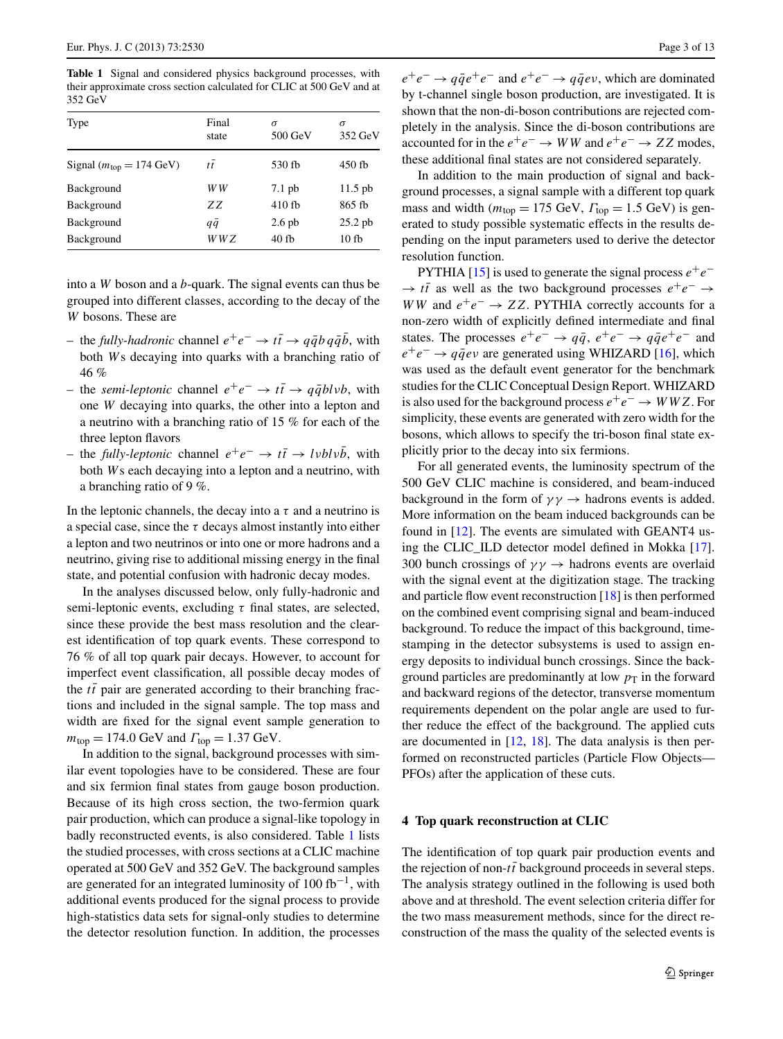<span id="page-2-1"></span>**Table 1** Signal and considered physics background processes, with their approximate cross section calculated for CLIC at 500 GeV and at 352 GeV

| Type                                          | Final<br>state | $\sigma$<br>$500$ GeV | $\sigma$<br>352 GeV |
|-----------------------------------------------|----------------|-----------------------|---------------------|
| Signal ( $m_{\text{top}} = 174 \text{ GeV}$ ) | $t\bar{t}$     | 530 fb                | $450$ fb            |
| Background                                    | W W            | $7.1$ pb              | $11.5$ pb           |
| Background                                    | ZZ.            | $410$ fb              | 865 fb              |
| Background                                    | $q\bar{q}$     | $2.6$ pb              | $25.2$ pb           |
| Background                                    | W W Z          | 40fb                  | 10f                 |

into a *W* boson and a *b*-quark. The signal events can thus be grouped into different classes, according to the decay of the *W* bosons. These are

- the *fully-hadronic* channel *e*+*e*<sup>−</sup> → *tt* ¯ → *qqbq* ¯ *q*¯*b*¯, with both *W*s decaying into quarks with a branching ratio of 46 %
- $-$  the *semi-leptonic* channel  $e^+e^-$  →  $t\bar{t}$  →  $q\bar{q}blvb$ , with one *W* decaying into quarks, the other into a lepton and a neutrino with a branching ratio of 15 % for each of the three lepton flavors
- $-$  the *fully-leptonic* channel  $e^+e^-$  →  $t\bar{t}$  → *lvblvb*, with both *W*s each decaying into a lepton and a neutrino, with a branching ratio of 9 %.

In the leptonic channels, the decay into a  $\tau$  and a neutrino is a special case, since the  $\tau$  decays almost instantly into either a lepton and two neutrinos or into one or more hadrons and a neutrino, giving rise to additional missing energy in the final state, and potential confusion with hadronic decay modes.

In the analyses discussed below, only fully-hadronic and semi-leptonic events, excluding *τ* final states, are selected, since these provide the best mass resolution and the clearest identification of top quark events. These correspond to 76 % of all top quark pair decays. However, to account for imperfect event classification, all possible decay modes of the  $t\bar{t}$  pair are generated according to their branching fractions and included in the signal sample. The top mass and width are fixed for the signal event sample generation to  $m_{\text{top}} = 174.0 \text{ GeV}$  and  $\Gamma_{\text{top}} = 1.37 \text{ GeV}$ .

In addition to the signal, background processes with similar event topologies have to be considered. These are four and six fermion final states from gauge boson production. Because of its high cross section, the two-fermion quark pair production, which can produce a signal-like topology in badly reconstructed events, is also considered. Table [1](#page-2-1) lists the studied processes, with cross sections at a CLIC machine operated at 500 GeV and 352 GeV. The background samples are generated for an integrated luminosity of  $100$  fb<sup>-1</sup>, with additional events produced for the signal process to provide high-statistics data sets for signal-only studies to determine the detector resolution function. In addition, the processes  $e^+e^- \rightarrow q\bar{q}e^+e^-$  and  $e^+e^- \rightarrow q\bar{q}e\nu$ , which are dominated by t-channel single boson production, are investigated. It is shown that the non-di-boson contributions are rejected completely in the analysis. Since the di-boson contributions are accounted for in the  $e^+e^- \rightarrow WW$  and  $e^+e^- \rightarrow ZZ$  modes, these additional final states are not considered separately.

In addition to the main production of signal and background processes, a signal sample with a different top quark mass and width ( $m_{top} = 175$  GeV,  $\Gamma_{top} = 1.5$  GeV) is generated to study possible systematic effects in the results depending on the input parameters used to derive the detector resolution function.

PYTHIA [[15\]](#page-12-12) is used to generate the signal process  $e^+e^-$ → *tt* as well as the two background processes  $e^+e^-$  → *WW* and  $e^+e^-$  → *ZZ*. PYTHIA correctly accounts for a non-zero width of explicitly defined intermediate and final states. The processes  $e^+e^- \rightarrow q\bar{q}$ ,  $e^+e^- \rightarrow q\bar{q}e^+e^-$  and  $e^+e^- \rightarrow q\bar{q}ev$  are generated using WHIZARD [\[16](#page-12-13)], which was used as the default event generator for the benchmark studies for the CLIC Conceptual Design Report. WHIZARD is also used for the background process  $e^+e^- \rightarrow WWZ$ . For simplicity, these events are generated with zero width for the bosons, which allows to specify the tri-boson final state explicitly prior to the decay into six fermions.

For all generated events, the luminosity spectrum of the 500 GeV CLIC machine is considered, and beam-induced background in the form of  $\gamma \gamma \rightarrow$  hadrons events is added. More information on the beam induced backgrounds can be found in [\[12](#page-12-9)]. The events are simulated with GEANT4 using the CLIC\_ILD detector model defined in Mokka [\[17](#page-12-14)]. 300 bunch crossings of  $\gamma \gamma \rightarrow$  hadrons events are overlaid with the signal event at the digitization stage. The tracking and particle flow event reconstruction [\[18](#page-12-15)] is then performed on the combined event comprising signal and beam-induced background. To reduce the impact of this background, timestamping in the detector subsystems is used to assign energy deposits to individual bunch crossings. Since the background particles are predominantly at low  $p<sub>T</sub>$  in the forward and backward regions of the detector, transverse momentum requirements dependent on the polar angle are used to further reduce the effect of the background. The applied cuts are documented in [\[12,](#page-12-9) [18\]](#page-12-15). The data analysis is then performed on reconstructed particles (Particle Flow Objects— PFOs) after the application of these cuts.

### <span id="page-2-0"></span>**4 Top quark reconstruction at CLIC**

The identification of top quark pair production events and the rejection of non- $t\bar{t}$  background proceeds in several steps. The analysis strategy outlined in the following is used both above and at threshold. The event selection criteria differ for the two mass measurement methods, since for the direct reconstruction of the mass the quality of the selected events is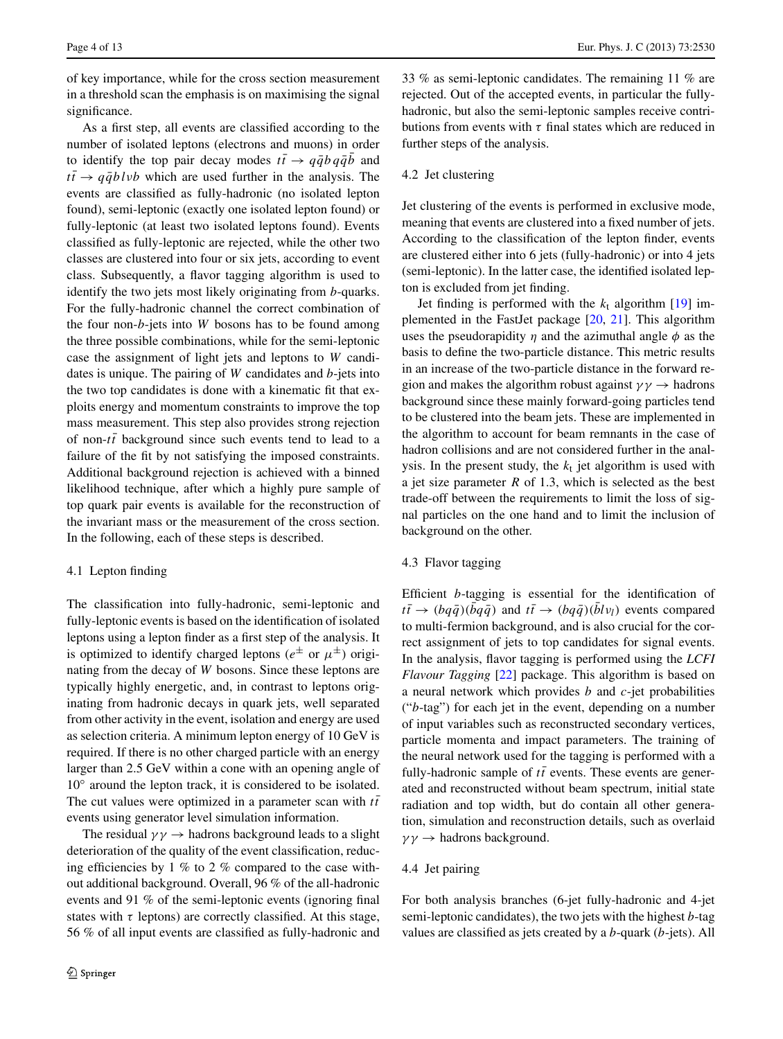of key importance, while for the cross section measurement in a threshold scan the emphasis is on maximising the signal significance.

As a first step, all events are classified according to the number of isolated leptons (electrons and muons) in order to identify the top pair decay modes  $t\bar{t} \rightarrow q\bar{q}b q\bar{q}\bar{b}$  and  $t\bar{t} \rightarrow q\bar{q}blvb$  which are used further in the analysis. The events are classified as fully-hadronic (no isolated lepton found), semi-leptonic (exactly one isolated lepton found) or fully-leptonic (at least two isolated leptons found). Events classified as fully-leptonic are rejected, while the other two classes are clustered into four or six jets, according to event class. Subsequently, a flavor tagging algorithm is used to identify the two jets most likely originating from *b*-quarks. For the fully-hadronic channel the correct combination of the four non-*b*-jets into *W* bosons has to be found among the three possible combinations, while for the semi-leptonic case the assignment of light jets and leptons to *W* candidates is unique. The pairing of *W* candidates and *b*-jets into the two top candidates is done with a kinematic fit that exploits energy and momentum constraints to improve the top mass measurement. This step also provides strong rejection of non- $t\bar{t}$  background since such events tend to lead to a failure of the fit by not satisfying the imposed constraints. Additional background rejection is achieved with a binned likelihood technique, after which a highly pure sample of top quark pair events is available for the reconstruction of the invariant mass or the measurement of the cross section. In the following, each of these steps is described.

## 4.1 Lepton finding

The classification into fully-hadronic, semi-leptonic and fully-leptonic events is based on the identification of isolated leptons using a lepton finder as a first step of the analysis. It is optimized to identify charged leptons ( $e^{\pm}$  or  $\mu^{\pm}$ ) originating from the decay of *W* bosons. Since these leptons are typically highly energetic, and, in contrast to leptons originating from hadronic decays in quark jets, well separated from other activity in the event, isolation and energy are used as selection criteria. A minimum lepton energy of 10 GeV is required. If there is no other charged particle with an energy larger than 2.5 GeV within a cone with an opening angle of 10◦ around the lepton track, it is considered to be isolated. The cut values were optimized in a parameter scan with  $t\bar{t}$ events using generator level simulation information.

The residual  $\gamma \gamma \rightarrow$  hadrons background leads to a slight deterioration of the quality of the event classification, reducing efficiencies by 1 % to 2 % compared to the case without additional background. Overall, 96 % of the all-hadronic events and 91 % of the semi-leptonic events (ignoring final states with  $\tau$  leptons) are correctly classified. At this stage, 56 % of all input events are classified as fully-hadronic and 33 % as semi-leptonic candidates. The remaining 11 % are rejected. Out of the accepted events, in particular the fullyhadronic, but also the semi-leptonic samples receive contributions from events with *τ* final states which are reduced in further steps of the analysis.

### 4.2 Jet clustering

Jet clustering of the events is performed in exclusive mode, meaning that events are clustered into a fixed number of jets. According to the classification of the lepton finder, events are clustered either into 6 jets (fully-hadronic) or into 4 jets (semi-leptonic). In the latter case, the identified isolated lepton is excluded from jet finding.

Jet finding is performed with the  $k_t$  algorithm [\[19](#page-12-16)] implemented in the FastJet package [[20,](#page-12-17) [21\]](#page-12-18). This algorithm uses the pseudorapidity  $\eta$  and the azimuthal angle  $\phi$  as the basis to define the two-particle distance. This metric results in an increase of the two-particle distance in the forward region and makes the algorithm robust against  $\gamma \gamma \rightarrow$  hadrons background since these mainly forward-going particles tend to be clustered into the beam jets. These are implemented in the algorithm to account for beam remnants in the case of hadron collisions and are not considered further in the analysis. In the present study, the  $k_t$  jet algorithm is used with a jet size parameter *R* of 1.3, which is selected as the best trade-off between the requirements to limit the loss of signal particles on the one hand and to limit the inclusion of background on the other.

## 4.3 Flavor tagging

Efficient *b*-tagging is essential for the identification of  $t\bar{t} \rightarrow (b q \bar{q}) (\bar{b} q \bar{q})$  and  $t\bar{t} \rightarrow (b q \bar{q}) (\bar{b} l v_l)$  events compared to multi-fermion background, and is also crucial for the correct assignment of jets to top candidates for signal events. In the analysis, flavor tagging is performed using the *LCFI Flavour Tagging* [[22\]](#page-12-19) package. This algorithm is based on a neural network which provides *b* and *c*-jet probabilities ("*b*-tag") for each jet in the event, depending on a number of input variables such as reconstructed secondary vertices, particle momenta and impact parameters. The training of the neural network used for the tagging is performed with a fully-hadronic sample of  $t\bar{t}$  events. These events are generated and reconstructed without beam spectrum, initial state radiation and top width, but do contain all other generation, simulation and reconstruction details, such as overlaid *γγ* → hadrons background.

# 4.4 Jet pairing

For both analysis branches (6-jet fully-hadronic and 4-jet semi-leptonic candidates), the two jets with the highest *b*-tag values are classified as jets created by a *b*-quark (*b*-jets). All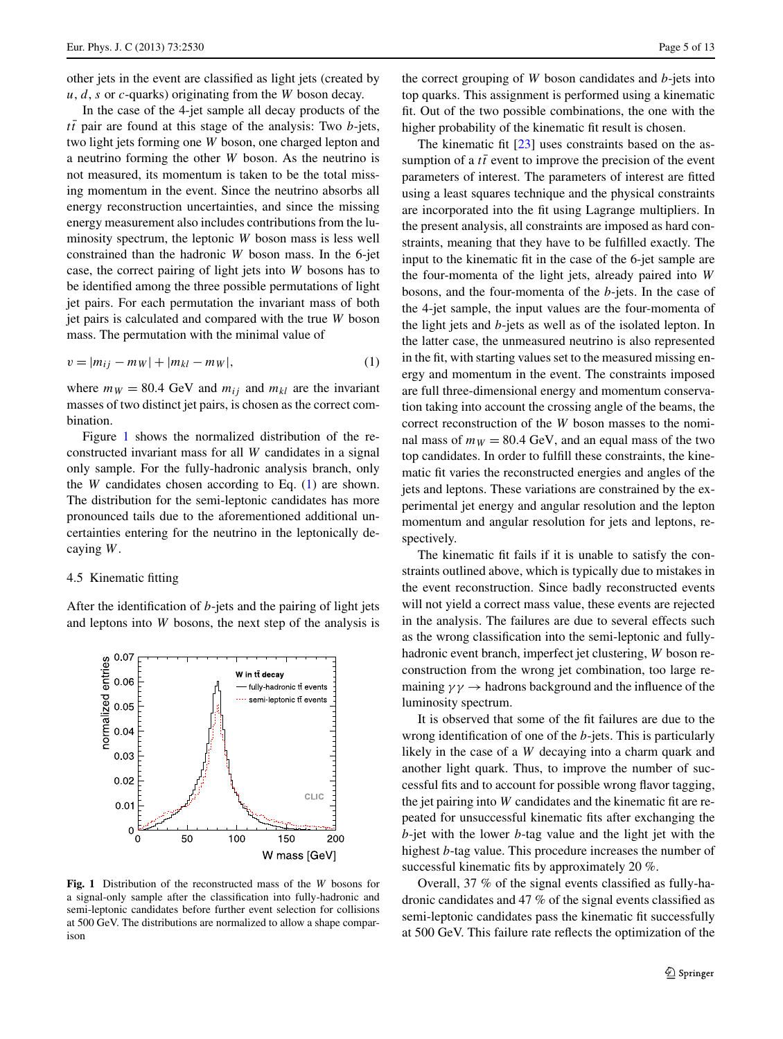other jets in the event are classified as light jets (created by *u*, *d*, *s* or *c*-quarks) originating from the *W* boson decay.

In the case of the 4-jet sample all decay products of the  $t\bar{t}$  pair are found at this stage of the analysis: Two *b*-jets, two light jets forming one *W* boson, one charged lepton and a neutrino forming the other *W* boson. As the neutrino is not measured, its momentum is taken to be the total missing momentum in the event. Since the neutrino absorbs all energy reconstruction uncertainties, and since the missing energy measurement also includes contributions from the luminosity spectrum, the leptonic *W* boson mass is less well constrained than the hadronic *W* boson mass. In the 6-jet case, the correct pairing of light jets into *W* bosons has to be identified among the three possible permutations of light jet pairs. For each permutation the invariant mass of both jet pairs is calculated and compared with the true *W* boson mass. The permutation with the minimal value of

<span id="page-4-1"></span>
$$
v = |m_{ij} - m_W| + |m_{kl} - m_W|,
$$
\n(1)

where  $m_W = 80.4$  GeV and  $m_{ij}$  and  $m_{kl}$  are the invariant masses of two distinct jet pairs, is chosen as the correct combination.

<span id="page-4-2"></span>Figure [1](#page-4-0) shows the normalized distribution of the reconstructed invariant mass for all *W* candidates in a signal only sample. For the fully-hadronic analysis branch, only the *W* candidates chosen according to Eq. ([1\)](#page-4-1) are shown. The distribution for the semi-leptonic candidates has more pronounced tails due to the aforementioned additional uncertainties entering for the neutrino in the leptonically decaying *W*.

#### 4.5 Kinematic fitting

After the identification of *b*-jets and the pairing of light jets and leptons into *W* bosons, the next step of the analysis is



<span id="page-4-0"></span>**Fig. 1** Distribution of the reconstructed mass of the *W* bosons for a signal-only sample after the classification into fully-hadronic and semi-leptonic candidates before further event selection for collisions at 500 GeV. The distributions are normalized to allow a shape comparison

the correct grouping of *W* boson candidates and *b*-jets into top quarks. This assignment is performed using a kinematic fit. Out of the two possible combinations, the one with the higher probability of the kinematic fit result is chosen.

The kinematic fit [\[23](#page-12-20)] uses constraints based on the assumption of a  $t\bar{t}$  event to improve the precision of the event parameters of interest. The parameters of interest are fitted using a least squares technique and the physical constraints are incorporated into the fit using Lagrange multipliers. In the present analysis, all constraints are imposed as hard constraints, meaning that they have to be fulfilled exactly. The input to the kinematic fit in the case of the 6-jet sample are the four-momenta of the light jets, already paired into *W* bosons, and the four-momenta of the *b*-jets. In the case of the 4-jet sample, the input values are the four-momenta of the light jets and *b*-jets as well as of the isolated lepton. In the latter case, the unmeasured neutrino is also represented in the fit, with starting values set to the measured missing energy and momentum in the event. The constraints imposed are full three-dimensional energy and momentum conservation taking into account the crossing angle of the beams, the correct reconstruction of the *W* boson masses to the nominal mass of  $m_W = 80.4$  GeV, and an equal mass of the two top candidates. In order to fulfill these constraints, the kinematic fit varies the reconstructed energies and angles of the jets and leptons. These variations are constrained by the experimental jet energy and angular resolution and the lepton momentum and angular resolution for jets and leptons, respectively.

The kinematic fit fails if it is unable to satisfy the constraints outlined above, which is typically due to mistakes in the event reconstruction. Since badly reconstructed events will not yield a correct mass value, these events are rejected in the analysis. The failures are due to several effects such as the wrong classification into the semi-leptonic and fullyhadronic event branch, imperfect jet clustering, *W* boson reconstruction from the wrong jet combination, too large remaining  $\gamma \gamma \rightarrow$  hadrons background and the influence of the luminosity spectrum.

It is observed that some of the fit failures are due to the wrong identification of one of the *b*-jets. This is particularly likely in the case of a *W* decaying into a charm quark and another light quark. Thus, to improve the number of successful fits and to account for possible wrong flavor tagging, the jet pairing into *W* candidates and the kinematic fit are repeated for unsuccessful kinematic fits after exchanging the *b*-jet with the lower *b*-tag value and the light jet with the highest *b*-tag value. This procedure increases the number of successful kinematic fits by approximately 20 %.

Overall, 37 % of the signal events classified as fully-hadronic candidates and 47 % of the signal events classified as semi-leptonic candidates pass the kinematic fit successfully at 500 GeV. This failure rate reflects the optimization of the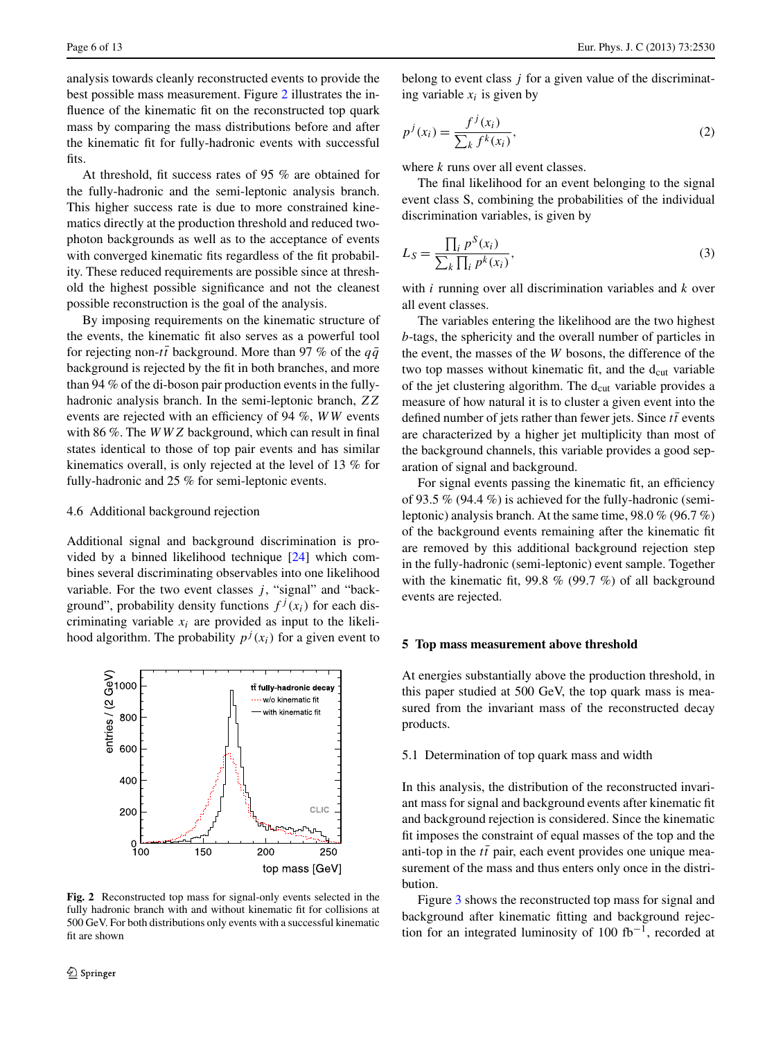analysis towards cleanly reconstructed events to provide the best possible mass measurement. Figure [2](#page-5-1) illustrates the influence of the kinematic fit on the reconstructed top quark mass by comparing the mass distributions before and after the kinematic fit for fully-hadronic events with successful fits.

At threshold, fit success rates of 95 % are obtained for the fully-hadronic and the semi-leptonic analysis branch. This higher success rate is due to more constrained kinematics directly at the production threshold and reduced twophoton backgrounds as well as to the acceptance of events with converged kinematic fits regardless of the fit probability. These reduced requirements are possible since at threshold the highest possible significance and not the cleanest possible reconstruction is the goal of the analysis.

By imposing requirements on the kinematic structure of the events, the kinematic fit also serves as a powerful tool for rejecting non-*tt* background. More than 97 % of the  $q\bar{q}$ background is rejected by the fit in both branches, and more than 94 % of the di-boson pair production events in the fullyhadronic analysis branch. In the semi-leptonic branch, *ZZ* events are rejected with an efficiency of 94 %, *WW* events with 86 %. The *WWZ* background, which can result in final states identical to those of top pair events and has similar kinematics overall, is only rejected at the level of 13 % for fully-hadronic and 25 % for semi-leptonic events.

#### 4.6 Additional background rejection

Additional signal and background discrimination is provided by a binned likelihood technique [\[24](#page-12-21)] which combines several discriminating observables into one likelihood variable. For the two event classes  $j$ , "signal" and "background", probability density functions  $f^{j}(x_i)$  for each discriminating variable *xi* are provided as input to the likelihood algorithm. The probability  $p^{j}(x_i)$  for a given event to



<span id="page-5-1"></span>**Fig. 2** Reconstructed top mass for signal-only events selected in the fully hadronic branch with and without kinematic fit for collisions at 500 GeV. For both distributions only events with a successful kinematic fit are shown

belong to event class *j* for a given value of the discriminating variable  $x_i$  is given by

$$
p^{j}(x_i) = \frac{f^{j}(x_i)}{\sum_{k} f^{k}(x_i)},
$$
\n<sup>(2)</sup>

where *k* runs over all event classes.

The final likelihood for an event belonging to the signal event class S, combining the probabilities of the individual discrimination variables, is given by

$$
L_S = \frac{\prod_i p^S(x_i)}{\sum_k \prod_i p^k(x_i)},
$$
\n(3)

with *i* running over all discrimination variables and *k* over all event classes.

The variables entering the likelihood are the two highest *b*-tags, the sphericity and the overall number of particles in the event, the masses of the *W* bosons, the difference of the two top masses without kinematic fit, and the  $d_{cut}$  variable of the jet clustering algorithm. The d<sub>cut</sub> variable provides a measure of how natural it is to cluster a given event into the defined number of jets rather than fewer jets. Since  $t\bar{t}$  events are characterized by a higher jet multiplicity than most of the background channels, this variable provides a good separation of signal and background.

<span id="page-5-0"></span>For signal events passing the kinematic fit, an efficiency of 93.5 % (94.4 %) is achieved for the fully-hadronic (semileptonic) analysis branch. At the same time, 98.0 % (96.7 %) of the background events remaining after the kinematic fit are removed by this additional background rejection step in the fully-hadronic (semi-leptonic) event sample. Together with the kinematic fit, 99.8 % (99.7 %) of all background events are rejected.

## **5 Top mass measurement above threshold**

At energies substantially above the production threshold, in this paper studied at 500 GeV, the top quark mass is measured from the invariant mass of the reconstructed decay products.

## 5.1 Determination of top quark mass and width

In this analysis, the distribution of the reconstructed invariant mass for signal and background events after kinematic fit and background rejection is considered. Since the kinematic fit imposes the constraint of equal masses of the top and the anti-top in the  $t\bar{t}$  pair, each event provides one unique measurement of the mass and thus enters only once in the distribution.

Figure [3](#page-6-0) shows the reconstructed top mass for signal and background after kinematic fitting and background rejection for an integrated luminosity of 100 fb<sup>-1</sup>, recorded at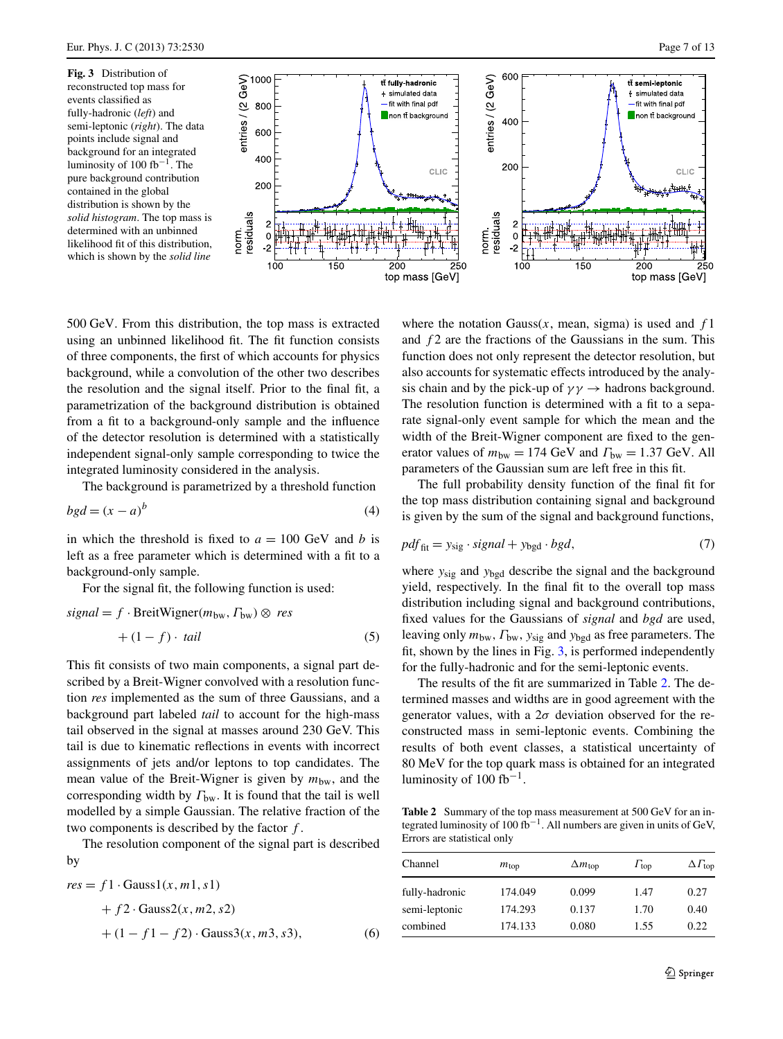<span id="page-6-0"></span>**Fig. 3** Distribution of reconstructed top mass for events classified as fully-hadronic (*left*) and semi-leptonic (*right*). The data points include signal and background for an integrated luminosity of 100 fb<sup>-1</sup>. The pure background contribution contained in the global distribution is shown by the *solid histogram*. The top mass is determined with an unbinned likelihood fit of this distribution, which is shown by the *solid line*



500 GeV. From this distribution, the top mass is extracted using an unbinned likelihood fit. The fit function consists of three components, the first of which accounts for physics background, while a convolution of the other two describes the resolution and the signal itself. Prior to the final fit, a parametrization of the background distribution is obtained from a fit to a background-only sample and the influence of the detector resolution is determined with a statistically independent signal-only sample corresponding to twice the integrated luminosity considered in the analysis.

norm.

The background is parametrized by a threshold function

$$
bgd = (x - a)^b \tag{4}
$$

in which the threshold is fixed to  $a = 100$  GeV and *b* is left as a free parameter which is determined with a fit to a background-only sample.

For the signal fit, the following function is used:

$$
signal = f \cdot BreitWigner(m_{bw}, \Gamma_{bw}) \otimes res
$$

$$
+ (1 - f) \cdot tail
$$
 (5)

This fit consists of two main components, a signal part described by a Breit-Wigner convolved with a resolution function *res* implemented as the sum of three Gaussians, and a background part labeled *tail* to account for the high-mass tail observed in the signal at masses around 230 GeV. This tail is due to kinematic reflections in events with incorrect assignments of jets and/or leptons to top candidates. The mean value of the Breit-Wigner is given by  $m_{bw}$ , and the corresponding width by *Γ*bw. It is found that the tail is well modelled by a simple Gaussian. The relative fraction of the two components is described by the factor *f* .

The resolution component of the signal part is described by

$$
res = f1 \cdot Gauss1(x, m1, s1) + f2 \cdot Gauss2(x, m2, s2) + (1 - f1 - f2) \cdot Gauss3(x, m3, s3),
$$
 (6)

where the notation Gauss $(x, \text{mean}, \text{sigma})$  is used and  $f_1$ and *f* 2 are the fractions of the Gaussians in the sum. This function does not only represent the detector resolution, but also accounts for systematic effects introduced by the analysis chain and by the pick-up of  $\gamma \gamma \rightarrow$  hadrons background. The resolution function is determined with a fit to a separate signal-only event sample for which the mean and the width of the Breit-Wigner component are fixed to the generator values of  $m_{bw} = 174$  GeV and  $\Gamma_{bw} = 1.37$  GeV. All parameters of the Gaussian sum are left free in this fit.

The full probability density function of the final fit for the top mass distribution containing signal and background is given by the sum of the signal and background functions,

$$
pdf_{\text{fit}} = y_{\text{sig}} \cdot signal + y_{\text{bgd}} \cdot bgd,\tag{7}
$$

where *y*sig and *y*bgd describe the signal and the background yield, respectively. In the final fit to the overall top mass distribution including signal and background contributions, fixed values for the Gaussians of *signal* and *bgd* are used, leaving only *m*bw*,Γ*bw, *y*sig and *y*bgd as free parameters. The fit, shown by the lines in Fig. [3](#page-6-0), is performed independently for the fully-hadronic and for the semi-leptonic events.

<span id="page-6-1"></span>The results of the fit are summarized in Table [2.](#page-6-1) The determined masses and widths are in good agreement with the generator values, with a  $2\sigma$  deviation observed for the reconstructed mass in semi-leptonic events. Combining the results of both event classes, a statistical uncertainty of 80 MeV for the top quark mass is obtained for an integrated luminosity of 100 fb<sup>-1</sup>.

**Table 2** Summary of the top mass measurement at 500 GeV for an integrated luminosity of 100 fb<sup>-1</sup>. All numbers are given in units of GeV, Errors are statistical only

| Channel                         | $m_{\rm top}$      | $\Delta m_{\rm top}$ | $\Gamma_{\text{top}}$ | $\Delta\Gamma_{\rm top}$ |
|---------------------------------|--------------------|----------------------|-----------------------|--------------------------|
| fully-hadronic<br>semi-leptonic | 174.049<br>174.293 | 0.099<br>0.137       | 1.47<br>1.70          | 0.27<br>0.40             |
| combined                        | 174.133            | 0.080                | 1.55                  | 0.22                     |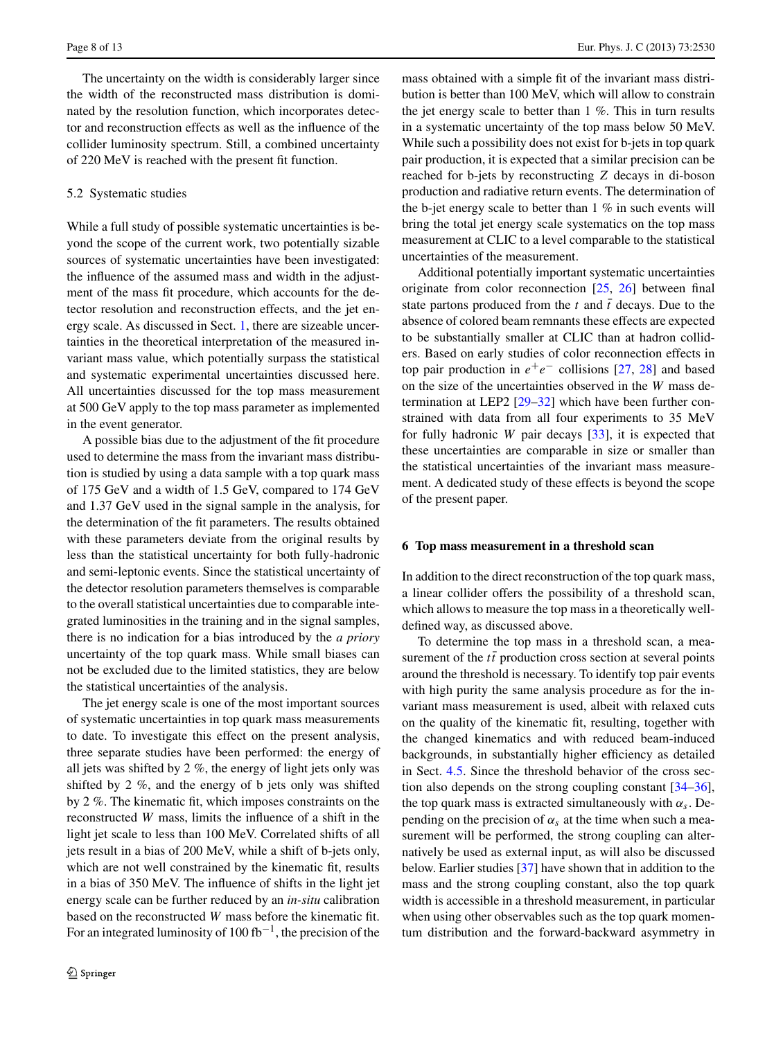The uncertainty on the width is considerably larger since the width of the reconstructed mass distribution is dominated by the resolution function, which incorporates detector and reconstruction effects as well as the influence of the collider luminosity spectrum. Still, a combined uncertainty of 220 MeV is reached with the present fit function.

## 5.2 Systematic studies

While a full study of possible systematic uncertainties is beyond the scope of the current work, two potentially sizable sources of systematic uncertainties have been investigated: the influence of the assumed mass and width in the adjustment of the mass fit procedure, which accounts for the detector resolution and reconstruction effects, and the jet energy scale. As discussed in Sect. [1](#page-0-3), there are sizeable uncertainties in the theoretical interpretation of the measured invariant mass value, which potentially surpass the statistical and systematic experimental uncertainties discussed here. All uncertainties discussed for the top mass measurement at 500 GeV apply to the top mass parameter as implemented in the event generator.

A possible bias due to the adjustment of the fit procedure used to determine the mass from the invariant mass distribution is studied by using a data sample with a top quark mass of 175 GeV and a width of 1.5 GeV, compared to 174 GeV and 1.37 GeV used in the signal sample in the analysis, for the determination of the fit parameters. The results obtained with these parameters deviate from the original results by less than the statistical uncertainty for both fully-hadronic and semi-leptonic events. Since the statistical uncertainty of the detector resolution parameters themselves is comparable to the overall statistical uncertainties due to comparable integrated luminosities in the training and in the signal samples, there is no indication for a bias introduced by the *a priory* uncertainty of the top quark mass. While small biases can not be excluded due to the limited statistics, they are below the statistical uncertainties of the analysis.

The jet energy scale is one of the most important sources of systematic uncertainties in top quark mass measurements to date. To investigate this effect on the present analysis, three separate studies have been performed: the energy of all jets was shifted by 2 %, the energy of light jets only was shifted by 2 %, and the energy of b jets only was shifted by 2 %. The kinematic fit, which imposes constraints on the reconstructed *W* mass, limits the influence of a shift in the light jet scale to less than 100 MeV. Correlated shifts of all jets result in a bias of 200 MeV, while a shift of b-jets only, which are not well constrained by the kinematic fit, results in a bias of 350 MeV. The influence of shifts in the light jet energy scale can be further reduced by an *in-situ* calibration based on the reconstructed *W* mass before the kinematic fit. For an integrated luminosity of  $100$  fb<sup>-1</sup>, the precision of the mass obtained with a simple fit of the invariant mass distribution is better than 100 MeV, which will allow to constrain the jet energy scale to better than 1 %. This in turn results in a systematic uncertainty of the top mass below 50 MeV. While such a possibility does not exist for b-jets in top quark pair production, it is expected that a similar precision can be reached for b-jets by reconstructing *Z* decays in di-boson production and radiative return events. The determination of the b-jet energy scale to better than  $1\%$  in such events will bring the total jet energy scale systematics on the top mass measurement at CLIC to a level comparable to the statistical uncertainties of the measurement.

Additional potentially important systematic uncertainties originate from color reconnection [[25,](#page-12-22) [26\]](#page-12-23) between final state partons produced from the  $t$  and  $\bar{t}$  decays. Due to the absence of colored beam remnants these effects are expected to be substantially smaller at CLIC than at hadron colliders. Based on early studies of color reconnection effects in top pair production in  $e^+e^-$  collisions [\[27](#page-12-24), [28](#page-12-25)] and based on the size of the uncertainties observed in the *W* mass determination at LEP2 [\[29](#page-12-26)[–32](#page-12-27)] which have been further constrained with data from all four experiments to 35 MeV for fully hadronic *W* pair decays [\[33](#page-12-28)], it is expected that these uncertainties are comparable in size or smaller than the statistical uncertainties of the invariant mass measurement. A dedicated study of these effects is beyond the scope of the present paper.

#### <span id="page-7-0"></span>**6 Top mass measurement in a threshold scan**

In addition to the direct reconstruction of the top quark mass, a linear collider offers the possibility of a threshold scan, which allows to measure the top mass in a theoretically welldefined way, as discussed above.

To determine the top mass in a threshold scan, a measurement of the  $t\bar{t}$  production cross section at several points around the threshold is necessary. To identify top pair events with high purity the same analysis procedure as for the invariant mass measurement is used, albeit with relaxed cuts on the quality of the kinematic fit, resulting, together with the changed kinematics and with reduced beam-induced backgrounds, in substantially higher efficiency as detailed in Sect. [4.5](#page-4-2). Since the threshold behavior of the cross section also depends on the strong coupling constant [\[34](#page-12-29)[–36](#page-12-30)], the top quark mass is extracted simultaneously with  $\alpha_s$ . Depending on the precision of  $\alpha_s$  at the time when such a measurement will be performed, the strong coupling can alternatively be used as external input, as will also be discussed below. Earlier studies [\[37](#page-12-31)] have shown that in addition to the mass and the strong coupling constant, also the top quark width is accessible in a threshold measurement, in particular when using other observables such as the top quark momentum distribution and the forward-backward asymmetry in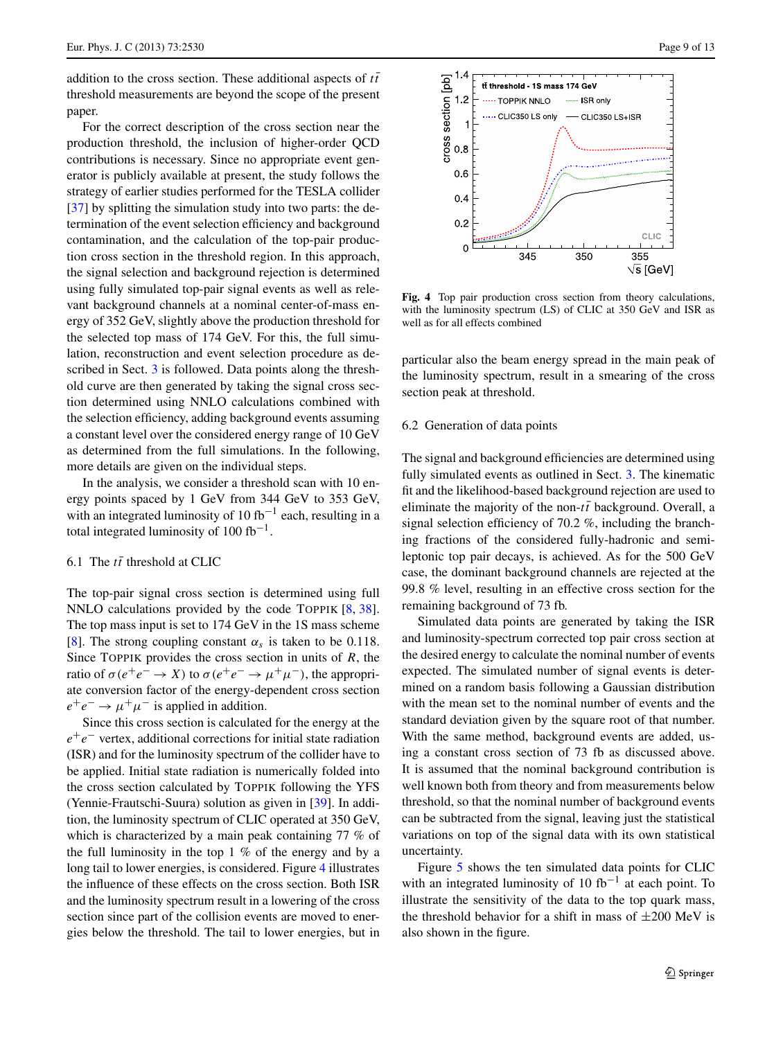addition to the cross section. These additional aspects of  $t\bar{t}$ threshold measurements are beyond the scope of the present paper.

For the correct description of the cross section near the production threshold, the inclusion of higher-order QCD contributions is necessary. Since no appropriate event generator is publicly available at present, the study follows the strategy of earlier studies performed for the TESLA collider [\[37](#page-12-31)] by splitting the simulation study into two parts: the determination of the event selection efficiency and background contamination, and the calculation of the top-pair production cross section in the threshold region. In this approach, the signal selection and background rejection is determined using fully simulated top-pair signal events as well as relevant background channels at a nominal center-of-mass energy of 352 GeV, slightly above the production threshold for the selected top mass of 174 GeV. For this, the full simulation, reconstruction and event selection procedure as de-scribed in Sect. [3](#page-1-1) is followed. Data points along the threshold curve are then generated by taking the signal cross section determined using NNLO calculations combined with the selection efficiency, adding background events assuming a constant level over the considered energy range of 10 GeV as determined from the full simulations. In the following, more details are given on the individual steps.

In the analysis, we consider a threshold scan with 10 energy points spaced by 1 GeV from 344 GeV to 353 GeV, with an integrated luminosity of 10 fb<sup>-1</sup> each, resulting in a total integrated luminosity of  $100$  fb<sup>-1</sup>.

# 6.1 The  $t\bar{t}$  threshold at CLIC

The top-pair signal cross section is determined using full NNLO calculations provided by the code TOPPIK [\[8](#page-12-5), [38](#page-12-32)]. The top mass input is set to 174 GeV in the 1S mass scheme [\[8](#page-12-5)]. The strong coupling constant  $\alpha_s$  is taken to be 0.118. Since TOPPIK provides the cross section in units of *R*, the ratio of  $\sigma(e^+e^- \to X)$  to  $\sigma(e^+e^- \to \mu^+\mu^-)$ , the appropriate conversion factor of the energy-dependent cross section  $e^+e^- \rightarrow \mu^+\mu^-$  is applied in addition.

Since this cross section is calculated for the energy at the *e*+*e*<sup>−</sup> vertex, additional corrections for initial state radiation (ISR) and for the luminosity spectrum of the collider have to be applied. Initial state radiation is numerically folded into the cross section calculated by TOPPIK following the YFS (Yennie-Frautschi-Suura) solution as given in [[39\]](#page-12-33). In addition, the luminosity spectrum of CLIC operated at 350 GeV, which is characterized by a main peak containing 77 % of the full luminosity in the top 1 % of the energy and by a long tail to lower energies, is considered. Figure [4](#page-8-0) illustrates the influence of these effects on the cross section. Both ISR and the luminosity spectrum result in a lowering of the cross section since part of the collision events are moved to energies below the threshold. The tail to lower energies, but in



<span id="page-8-0"></span>**Fig. 4** Top pair production cross section from theory calculations, with the luminosity spectrum (LS) of CLIC at 350 GeV and ISR as well as for all effects combined

particular also the beam energy spread in the main peak of the luminosity spectrum, result in a smearing of the cross section peak at threshold.

#### 6.2 Generation of data points

The signal and background efficiencies are determined using fully simulated events as outlined in Sect. [3](#page-1-1). The kinematic fit and the likelihood-based background rejection are used to eliminate the majority of the non- $t\bar{t}$  background. Overall, a signal selection efficiency of 70.2 %, including the branching fractions of the considered fully-hadronic and semileptonic top pair decays, is achieved. As for the 500 GeV case, the dominant background channels are rejected at the 99.8 % level, resulting in an effective cross section for the remaining background of 73 fb.

Simulated data points are generated by taking the ISR and luminosity-spectrum corrected top pair cross section at the desired energy to calculate the nominal number of events expected. The simulated number of signal events is determined on a random basis following a Gaussian distribution with the mean set to the nominal number of events and the standard deviation given by the square root of that number. With the same method, background events are added, using a constant cross section of 73 fb as discussed above. It is assumed that the nominal background contribution is well known both from theory and from measurements below threshold, so that the nominal number of background events can be subtracted from the signal, leaving just the statistical variations on top of the signal data with its own statistical uncertainty.

Figure [5](#page-9-0) shows the ten simulated data points for CLIC with an integrated luminosity of 10 fb<sup>-1</sup> at each point. To illustrate the sensitivity of the data to the top quark mass, the threshold behavior for a shift in mass of  $\pm 200$  MeV is also shown in the figure.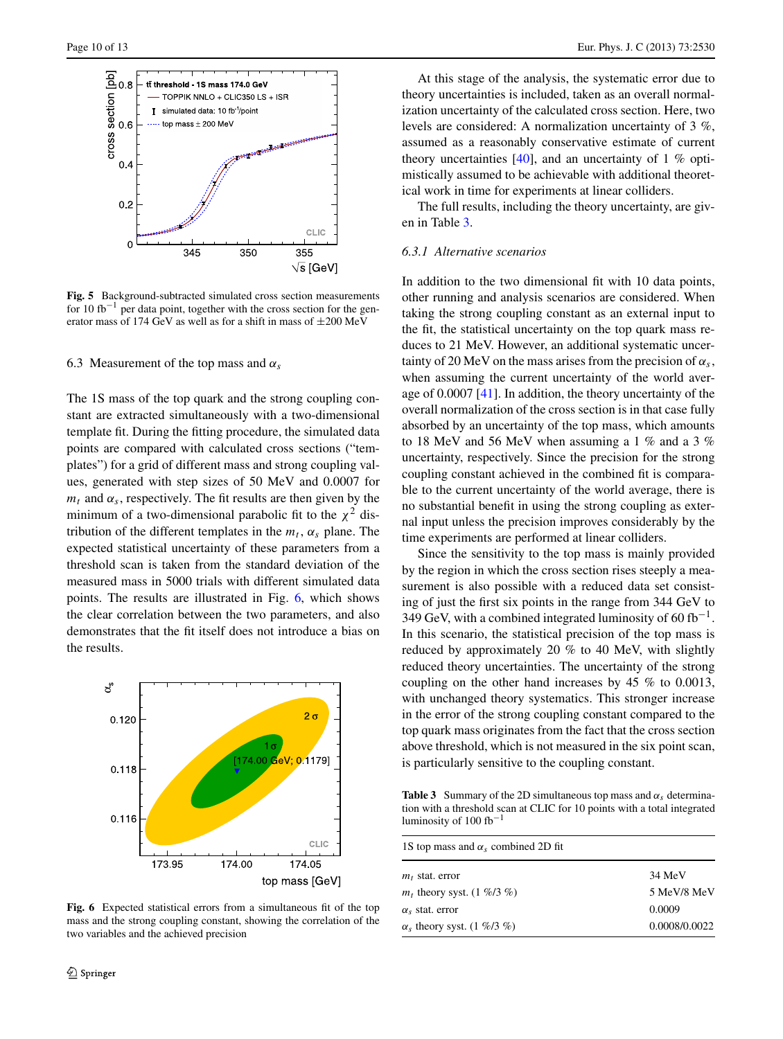

<span id="page-9-0"></span>**Fig. 5** Background-subtracted simulated cross section measurements for 10 fb<sup>-1</sup> per data point, together with the cross section for the generator mass of 174 GeV as well as for a shift in mass of  $\pm 200$  MeV

6.3 Measurement of the top mass and *αs*

The 1S mass of the top quark and the strong coupling constant are extracted simultaneously with a two-dimensional template fit. During the fitting procedure, the simulated data points are compared with calculated cross sections ("templates") for a grid of different mass and strong coupling values, generated with step sizes of 50 MeV and 0.0007 for  $m_t$  and  $\alpha_s$ , respectively. The fit results are then given by the minimum of a two-dimensional parabolic fit to the  $\chi^2$  distribution of the different templates in the  $m_t$ ,  $\alpha_s$  plane. The expected statistical uncertainty of these parameters from a threshold scan is taken from the standard deviation of the measured mass in 5000 trials with different simulated data points. The results are illustrated in Fig. [6](#page-9-1), which shows the clear correlation between the two parameters, and also demonstrates that the fit itself does not introduce a bias on the results.



<span id="page-9-1"></span>**Fig. 6** Expected statistical errors from a simultaneous fit of the top mass and the strong coupling constant, showing the correlation of the two variables and the achieved precision

At this stage of the analysis, the systematic error due to theory uncertainties is included, taken as an overall normalization uncertainty of the calculated cross section. Here, two levels are considered: A normalization uncertainty of 3 %, assumed as a reasonably conservative estimate of current theory uncertainties  $[40]$ , and an uncertainty of 1 % optimistically assumed to be achievable with additional theoretical work in time for experiments at linear colliders.

The full results, including the theory uncertainty, are given in Table [3](#page-9-2).

# *6.3.1 Alternative scenarios*

In addition to the two dimensional fit with 10 data points, other running and analysis scenarios are considered. When taking the strong coupling constant as an external input to the fit, the statistical uncertainty on the top quark mass reduces to 21 MeV. However, an additional systematic uncertainty of 20 MeV on the mass arises from the precision of  $\alpha_s$ , when assuming the current uncertainty of the world average of 0.0007 [[41\]](#page-12-35). In addition, the theory uncertainty of the overall normalization of the cross section is in that case fully absorbed by an uncertainty of the top mass, which amounts to 18 MeV and 56 MeV when assuming a 1 % and a 3 % uncertainty, respectively. Since the precision for the strong coupling constant achieved in the combined fit is comparable to the current uncertainty of the world average, there is no substantial benefit in using the strong coupling as external input unless the precision improves considerably by the time experiments are performed at linear colliders.

Since the sensitivity to the top mass is mainly provided by the region in which the cross section rises steeply a measurement is also possible with a reduced data set consisting of just the first six points in the range from 344 GeV to 349 GeV, with a combined integrated luminosity of 60 fb<sup>-1</sup>. In this scenario, the statistical precision of the top mass is reduced by approximately 20 % to 40 MeV, with slightly reduced theory uncertainties. The uncertainty of the strong coupling on the other hand increases by 45 % to 0.0013, with unchanged theory systematics. This stronger increase in the error of the strong coupling constant compared to the top quark mass originates from the fact that the cross section above threshold, which is not measured in the six point scan, is particularly sensitive to the coupling constant.

<span id="page-9-2"></span>**Table 3** Summary of the 2D simultaneous top mass and  $\alpha_s$  determination with a threshold scan at CLIC for 10 points with a total integrated luminosity of  $100$  fb<sup>-1</sup>

| 1S top mass and $\alpha_s$ combined 2D fit |               |  |  |
|--------------------------------------------|---------------|--|--|
| $m_t$ stat. error                          | 34 MeV        |  |  |
| $m_t$ , theory syst. (1 %/3 %)             | 5 MeV/8 MeV   |  |  |
| $\alpha_s$ stat. error                     | 0.0009        |  |  |
| $\alpha_s$ theory syst. (1 %/3 %)          | 0.0008/0.0022 |  |  |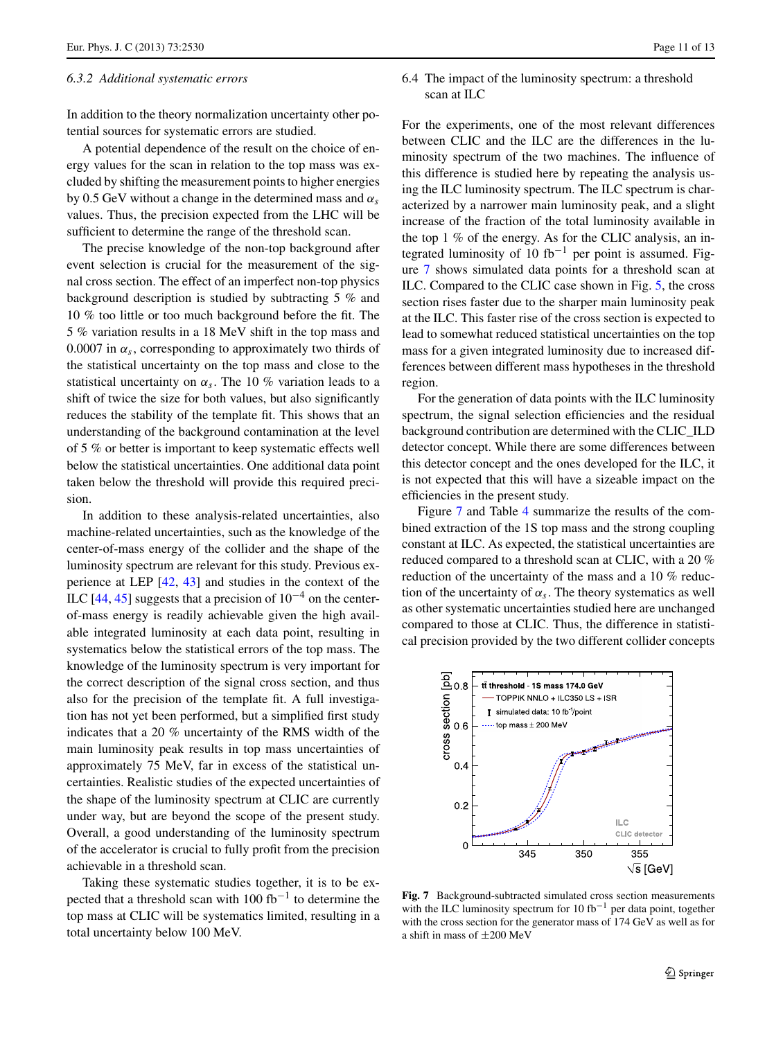#### *6.3.2 Additional systematic errors*

In addition to the theory normalization uncertainty other potential sources for systematic errors are studied.

A potential dependence of the result on the choice of energy values for the scan in relation to the top mass was excluded by shifting the measurement points to higher energies by 0.5 GeV without a change in the determined mass and *αs* values. Thus, the precision expected from the LHC will be sufficient to determine the range of the threshold scan.

The precise knowledge of the non-top background after event selection is crucial for the measurement of the signal cross section. The effect of an imperfect non-top physics background description is studied by subtracting 5 % and 10 % too little or too much background before the fit. The 5 % variation results in a 18 MeV shift in the top mass and 0.0007 in  $\alpha_s$ , corresponding to approximately two thirds of the statistical uncertainty on the top mass and close to the statistical uncertainty on  $\alpha_s$ . The 10 % variation leads to a shift of twice the size for both values, but also significantly reduces the stability of the template fit. This shows that an understanding of the background contamination at the level of 5 % or better is important to keep systematic effects well below the statistical uncertainties. One additional data point taken below the threshold will provide this required precision.

In addition to these analysis-related uncertainties, also machine-related uncertainties, such as the knowledge of the center-of-mass energy of the collider and the shape of the luminosity spectrum are relevant for this study. Previous experience at LEP [\[42](#page-12-36), [43](#page-12-37)] and studies in the context of the ILC [\[44](#page-12-38), [45](#page-12-39)] suggests that a precision of  $10^{-4}$  on the centerof-mass energy is readily achievable given the high available integrated luminosity at each data point, resulting in systematics below the statistical errors of the top mass. The knowledge of the luminosity spectrum is very important for the correct description of the signal cross section, and thus also for the precision of the template fit. A full investigation has not yet been performed, but a simplified first study indicates that a 20 % uncertainty of the RMS width of the main luminosity peak results in top mass uncertainties of approximately 75 MeV, far in excess of the statistical uncertainties. Realistic studies of the expected uncertainties of the shape of the luminosity spectrum at CLIC are currently under way, but are beyond the scope of the present study. Overall, a good understanding of the luminosity spectrum of the accelerator is crucial to fully profit from the precision achievable in a threshold scan.

Taking these systematic studies together, it is to be expected that a threshold scan with 100 fb<sup>-1</sup> to determine the top mass at CLIC will be systematics limited, resulting in a total uncertainty below 100 MeV.

# 6.4 The impact of the luminosity spectrum: a threshold scan at ILC

For the experiments, one of the most relevant differences between CLIC and the ILC are the differences in the luminosity spectrum of the two machines. The influence of this difference is studied here by repeating the analysis using the ILC luminosity spectrum. The ILC spectrum is characterized by a narrower main luminosity peak, and a slight increase of the fraction of the total luminosity available in the top 1 % of the energy. As for the CLIC analysis, an integrated luminosity of 10 fb<sup>-1</sup> per point is assumed. Figure [7](#page-10-0) shows simulated data points for a threshold scan at ILC. Compared to the CLIC case shown in Fig. [5,](#page-9-0) the cross section rises faster due to the sharper main luminosity peak at the ILC. This faster rise of the cross section is expected to lead to somewhat reduced statistical uncertainties on the top mass for a given integrated luminosity due to increased differences between different mass hypotheses in the threshold region.

For the generation of data points with the ILC luminosity spectrum, the signal selection efficiencies and the residual background contribution are determined with the CLIC\_ILD detector concept. While there are some differences between this detector concept and the ones developed for the ILC, it is not expected that this will have a sizeable impact on the efficiencies in the present study.

Figure [7](#page-10-0) and Table [4](#page-11-2) summarize the results of the combined extraction of the 1S top mass and the strong coupling constant at ILC. As expected, the statistical uncertainties are reduced compared to a threshold scan at CLIC, with a 20 % reduction of the uncertainty of the mass and a 10 % reduction of the uncertainty of  $\alpha_s$ . The theory systematics as well as other systematic uncertainties studied here are unchanged compared to those at CLIC. Thus, the difference in statistical precision provided by the two different collider concepts



<span id="page-10-0"></span>**Fig. 7** Background-subtracted simulated cross section measurements with the ILC luminosity spectrum for 10 fb<sup>-1</sup> per data point, together with the cross section for the generator mass of 174 GeV as well as for a shift in mass of ±200 MeV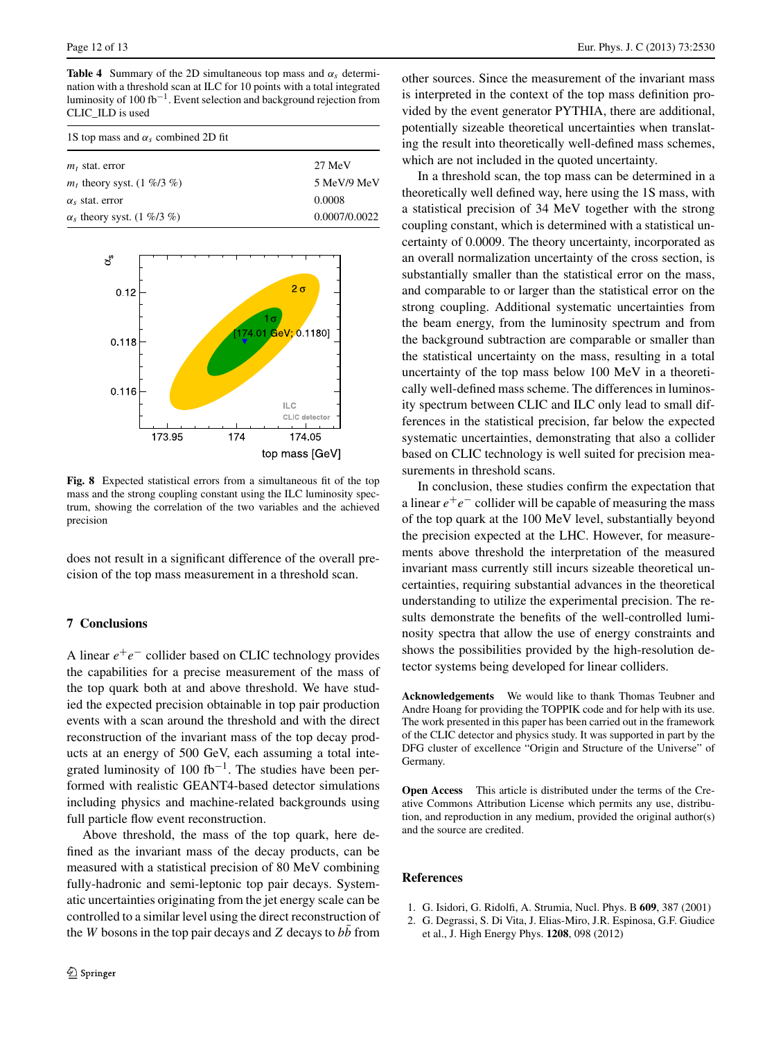<span id="page-11-2"></span>**Table 4** Summary of the 2D simultaneous top mass and  $\alpha_s$  determination with a threshold scan at ILC for 10 points with a total integrated luminosity of 100 fb<sup>-1</sup>. Event selection and background rejection from CLIC\_ILD is used

| 1S top mass and $\alpha_s$ combined 2D fit |               |  |  |  |
|--------------------------------------------|---------------|--|--|--|
| $m_t$ stat. error                          | 27 MeV        |  |  |  |
| $m_t$ theory syst. (1 %/3 %)               | 5 MeV/9 MeV   |  |  |  |
| $\alpha_{s}$ stat. error                   | 0.0008        |  |  |  |
| $\alpha_s$ theory syst. (1 %/3 %)          | 0.0007/0.0022 |  |  |  |



**Fig. 8** Expected statistical errors from a simultaneous fit of the top mass and the strong coupling constant using the ILC luminosity spectrum, showing the correlation of the two variables and the achieved precision

does not result in a significant difference of the overall precision of the top mass measurement in a threshold scan.

## **7 Conclusions**

A linear *e*+*e*<sup>−</sup> collider based on CLIC technology provides the capabilities for a precise measurement of the mass of the top quark both at and above threshold. We have studied the expected precision obtainable in top pair production events with a scan around the threshold and with the direct reconstruction of the invariant mass of the top decay products at an energy of 500 GeV, each assuming a total integrated luminosity of 100 fb<sup>-1</sup>. The studies have been performed with realistic GEANT4-based detector simulations including physics and machine-related backgrounds using full particle flow event reconstruction.

Above threshold, the mass of the top quark, here defined as the invariant mass of the decay products, can be measured with a statistical precision of 80 MeV combining fully-hadronic and semi-leptonic top pair decays. Systematic uncertainties originating from the jet energy scale can be controlled to a similar level using the direct reconstruction of the  $W$  bosons in the top pair decays and  $Z$  decays to  $bb$  from other sources. Since the measurement of the invariant mass is interpreted in the context of the top mass definition provided by the event generator PYTHIA, there are additional, potentially sizeable theoretical uncertainties when translating the result into theoretically well-defined mass schemes, which are not included in the quoted uncertainty.

In a threshold scan, the top mass can be determined in a theoretically well defined way, here using the 1S mass, with a statistical precision of 34 MeV together with the strong coupling constant, which is determined with a statistical uncertainty of 0.0009. The theory uncertainty, incorporated as an overall normalization uncertainty of the cross section, is substantially smaller than the statistical error on the mass, and comparable to or larger than the statistical error on the strong coupling. Additional systematic uncertainties from the beam energy, from the luminosity spectrum and from the background subtraction are comparable or smaller than the statistical uncertainty on the mass, resulting in a total uncertainty of the top mass below 100 MeV in a theoretically well-defined mass scheme. The differences in luminosity spectrum between CLIC and ILC only lead to small differences in the statistical precision, far below the expected systematic uncertainties, demonstrating that also a collider based on CLIC technology is well suited for precision measurements in threshold scans.

In conclusion, these studies confirm the expectation that a linear  $e^+e^-$  collider will be capable of measuring the mass of the top quark at the 100 MeV level, substantially beyond the precision expected at the LHC. However, for measurements above threshold the interpretation of the measured invariant mass currently still incurs sizeable theoretical uncertainties, requiring substantial advances in the theoretical understanding to utilize the experimental precision. The results demonstrate the benefits of the well-controlled luminosity spectra that allow the use of energy constraints and shows the possibilities provided by the high-resolution detector systems being developed for linear colliders.

**Acknowledgements** We would like to thank Thomas Teubner and Andre Hoang for providing the TOPPIK code and for help with its use. The work presented in this paper has been carried out in the framework of the CLIC detector and physics study. It was supported in part by the DFG cluster of excellence "Origin and Structure of the Universe" of Germany.

<span id="page-11-1"></span><span id="page-11-0"></span>**Open Access** This article is distributed under the terms of the Creative Commons Attribution License which permits any use, distribution, and reproduction in any medium, provided the original author(s) and the source are credited.

#### **References**

- 1. G. Isidori, G. Ridolfi, A. Strumia, Nucl. Phys. B **609**, 387 (2001)
- 2. G. Degrassi, S. Di Vita, J. Elias-Miro, J.R. Espinosa, G.F. Giudice et al., J. High Energy Phys. **1208**, 098 (2012)